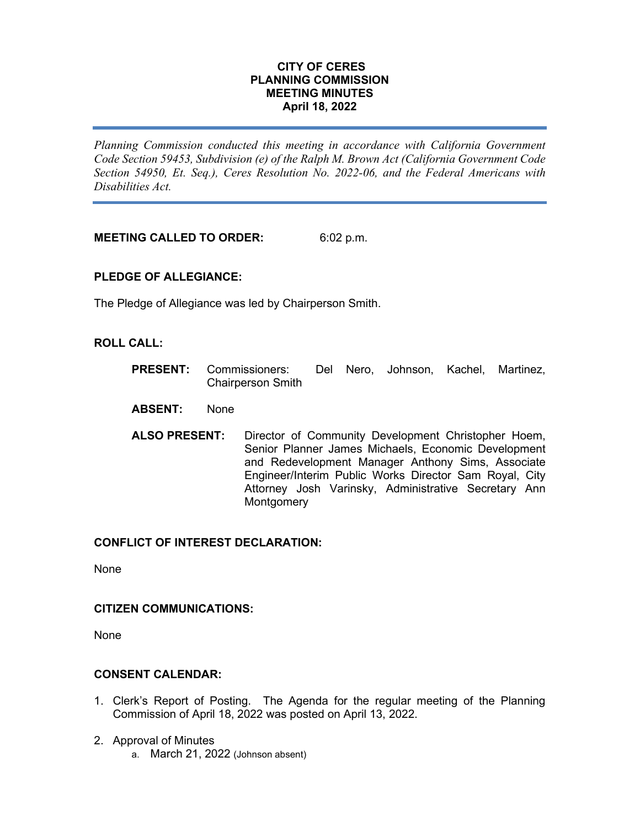## **CITY OF CERES PLANNING COMMISSION MEETING MINUTES April 18, 2022**

*Planning Commission conducted this meeting in accordance with California Government Code Section 59453, Subdivision (e) of the Ralph M. Brown Act (California Government Code Section 54950, Et. Seq.), Ceres Resolution No. 2022-06, and the Federal Americans with Disabilities Act.*

**MEETING CALLED TO ORDER:** 6:02 p.m.

# **PLEDGE OF ALLEGIANCE:**

The Pledge of Allegiance was led by Chairperson Smith.

# **ROLL CALL:**

- **PRESENT:** Commissioners: Del Nero, Johnson, Kachel, Martinez, Chairperson Smith
- **ABSENT:** None
- **ALSO PRESENT:** Director of Community Development Christopher Hoem, Senior Planner James Michaels, Economic Development and Redevelopment Manager Anthony Sims, Associate Engineer/Interim Public Works Director Sam Royal, City Attorney Josh Varinsky, Administrative Secretary Ann **Montgomery**

# **CONFLICT OF INTEREST DECLARATION:**

None

### **CITIZEN COMMUNICATIONS:**

None

# **CONSENT CALENDAR:**

- 1. Clerk's Report of Posting. The Agenda for the regular meeting of the Planning Commission of April 18, 2022 was posted on April 13, 2022.
- 2. Approval of Minutes
	- a. March 21, 2022 (Johnson absent)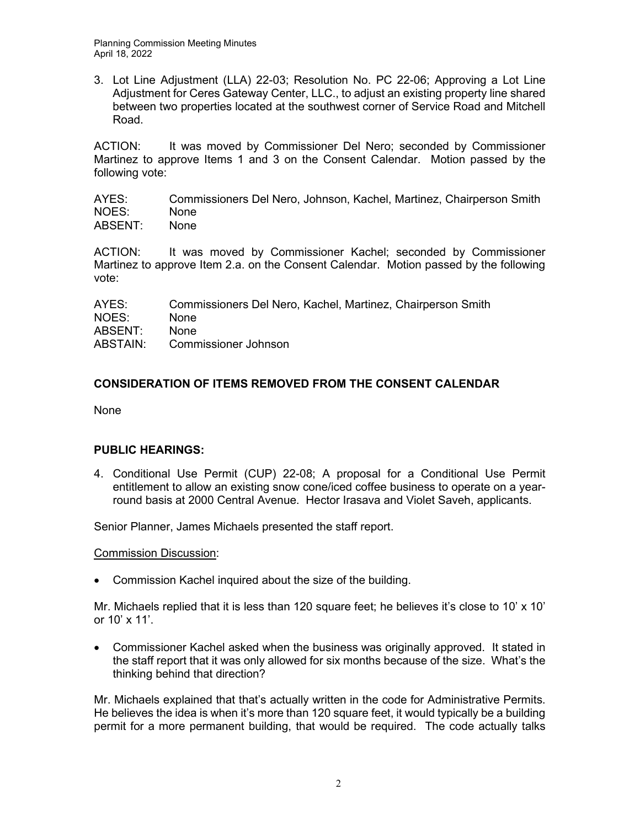3. Lot Line Adjustment (LLA) 22-03; Resolution No. PC 22-06; Approving a Lot Line Adjustment for Ceres Gateway Center, LLC., to adjust an existing property line shared between two properties located at the southwest corner of Service Road and Mitchell Road.

ACTION: It was moved by Commissioner Del Nero; seconded by Commissioner Martinez to approve Items 1 and 3 on the Consent Calendar. Motion passed by the following vote:

AYES: Commissioners Del Nero, Johnson, Kachel, Martinez, Chairperson Smith NOES: None ABSENT: None

ACTION: It was moved by Commissioner Kachel; seconded by Commissioner Martinez to approve Item 2.a. on the Consent Calendar. Motion passed by the following vote:

| AYES:    | Commissioners Del Nero, Kachel, Martinez, Chairperson Smith |
|----------|-------------------------------------------------------------|
| NOES:    | <b>None</b>                                                 |
| ABSENT:  | <b>None</b>                                                 |
| ABSTAIN: | Commissioner Johnson                                        |

# **CONSIDERATION OF ITEMS REMOVED FROM THE CONSENT CALENDAR**

None

# **PUBLIC HEARINGS:**

4. Conditional Use Permit (CUP) 22-08; A proposal for a Conditional Use Permit entitlement to allow an existing snow cone/iced coffee business to operate on a yearround basis at 2000 Central Avenue. Hector Irasava and Violet Saveh, applicants.

Senior Planner, James Michaels presented the staff report.

Commission Discussion:

• Commission Kachel inquired about the size of the building.

Mr. Michaels replied that it is less than 120 square feet; he believes it's close to 10' x 10' or 10' x 11'.

• Commissioner Kachel asked when the business was originally approved. It stated in the staff report that it was only allowed for six months because of the size. What's the thinking behind that direction?

Mr. Michaels explained that that's actually written in the code for Administrative Permits. He believes the idea is when it's more than 120 square feet, it would typically be a building permit for a more permanent building, that would be required. The code actually talks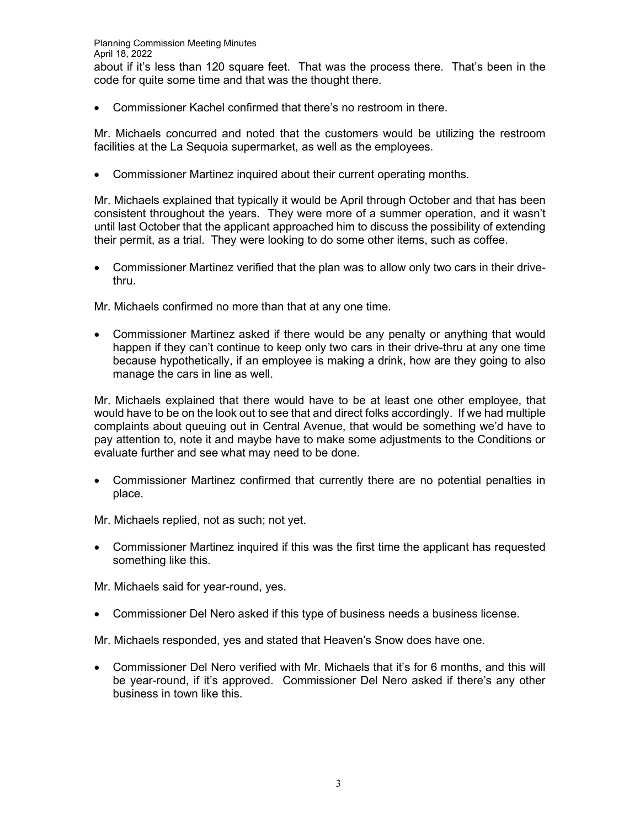• Commissioner Kachel confirmed that there's no restroom in there.

Mr. Michaels concurred and noted that the customers would be utilizing the restroom facilities at the La Sequoia supermarket, as well as the employees.

• Commissioner Martinez inquired about their current operating months.

Mr. Michaels explained that typically it would be April through October and that has been consistent throughout the years. They were more of a summer operation, and it wasn't until last October that the applicant approached him to discuss the possibility of extending their permit, as a trial. They were looking to do some other items, such as coffee.

• Commissioner Martinez verified that the plan was to allow only two cars in their drivethru.

Mr. Michaels confirmed no more than that at any one time.

• Commissioner Martinez asked if there would be any penalty or anything that would happen if they can't continue to keep only two cars in their drive-thru at any one time because hypothetically, if an employee is making a drink, how are they going to also manage the cars in line as well.

Mr. Michaels explained that there would have to be at least one other employee, that would have to be on the look out to see that and direct folks accordingly. If we had multiple complaints about queuing out in Central Avenue, that would be something we'd have to pay attention to, note it and maybe have to make some adjustments to the Conditions or evaluate further and see what may need to be done.

• Commissioner Martinez confirmed that currently there are no potential penalties in place.

Mr. Michaels replied, not as such; not yet.

• Commissioner Martinez inquired if this was the first time the applicant has requested something like this.

Mr. Michaels said for year-round, yes.

• Commissioner Del Nero asked if this type of business needs a business license.

Mr. Michaels responded, yes and stated that Heaven's Snow does have one.

• Commissioner Del Nero verified with Mr. Michaels that it's for 6 months, and this will be year-round, if it's approved. Commissioner Del Nero asked if there's any other business in town like this.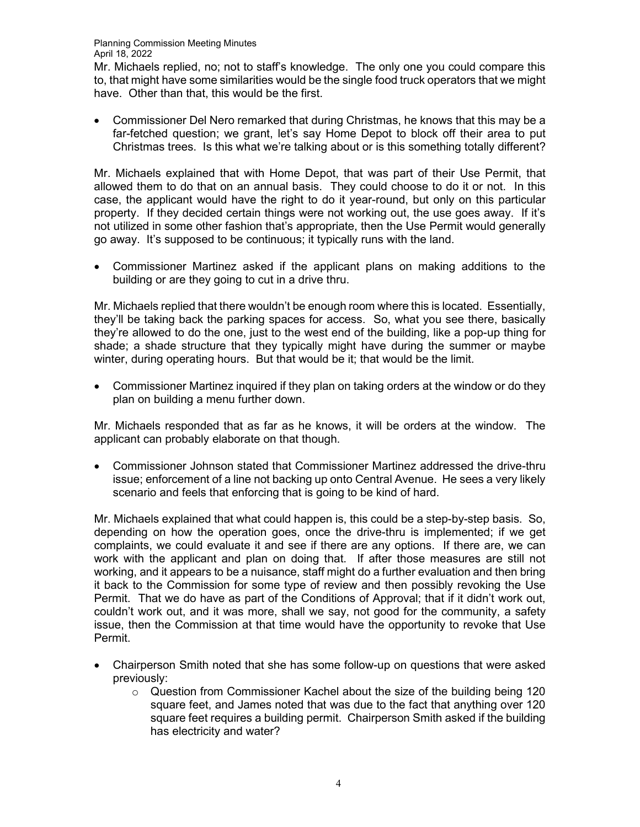Mr. Michaels replied, no; not to staff's knowledge. The only one you could compare this to, that might have some similarities would be the single food truck operators that we might have. Other than that, this would be the first.

• Commissioner Del Nero remarked that during Christmas, he knows that this may be a far-fetched question; we grant, let's say Home Depot to block off their area to put Christmas trees. Is this what we're talking about or is this something totally different?

Mr. Michaels explained that with Home Depot, that was part of their Use Permit, that allowed them to do that on an annual basis. They could choose to do it or not. In this case, the applicant would have the right to do it year-round, but only on this particular property. If they decided certain things were not working out, the use goes away. If it's not utilized in some other fashion that's appropriate, then the Use Permit would generally go away. It's supposed to be continuous; it typically runs with the land.

• Commissioner Martinez asked if the applicant plans on making additions to the building or are they going to cut in a drive thru.

Mr. Michaels replied that there wouldn't be enough room where this is located. Essentially, they'll be taking back the parking spaces for access. So, what you see there, basically they're allowed to do the one, just to the west end of the building, like a pop-up thing for shade; a shade structure that they typically might have during the summer or maybe winter, during operating hours. But that would be it; that would be the limit.

• Commissioner Martinez inquired if they plan on taking orders at the window or do they plan on building a menu further down.

Mr. Michaels responded that as far as he knows, it will be orders at the window. The applicant can probably elaborate on that though.

• Commissioner Johnson stated that Commissioner Martinez addressed the drive-thru issue; enforcement of a line not backing up onto Central Avenue. He sees a very likely scenario and feels that enforcing that is going to be kind of hard.

Mr. Michaels explained that what could happen is, this could be a step-by-step basis. So, depending on how the operation goes, once the drive-thru is implemented; if we get complaints, we could evaluate it and see if there are any options. If there are, we can work with the applicant and plan on doing that. If after those measures are still not working, and it appears to be a nuisance, staff might do a further evaluation and then bring it back to the Commission for some type of review and then possibly revoking the Use Permit. That we do have as part of the Conditions of Approval; that if it didn't work out, couldn't work out, and it was more, shall we say, not good for the community, a safety issue, then the Commission at that time would have the opportunity to revoke that Use Permit.

- Chairperson Smith noted that she has some follow-up on questions that were asked previously:
	- $\circ$  Question from Commissioner Kachel about the size of the building being 120 square feet, and James noted that was due to the fact that anything over 120 square feet requires a building permit. Chairperson Smith asked if the building has electricity and water?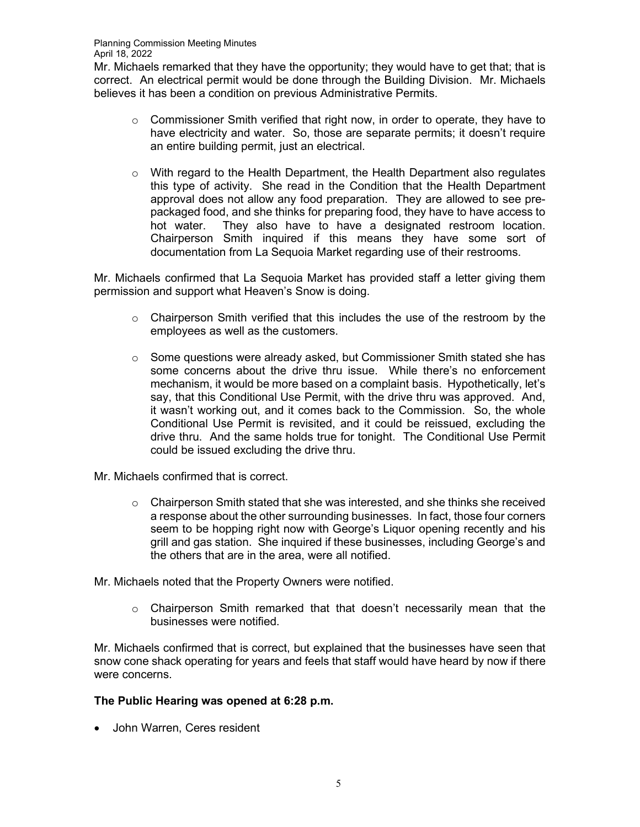Mr. Michaels remarked that they have the opportunity; they would have to get that; that is correct. An electrical permit would be done through the Building Division. Mr. Michaels believes it has been a condition on previous Administrative Permits.

- o Commissioner Smith verified that right now, in order to operate, they have to have electricity and water. So, those are separate permits; it doesn't require an entire building permit, just an electrical.
- o With regard to the Health Department, the Health Department also regulates this type of activity. She read in the Condition that the Health Department approval does not allow any food preparation. They are allowed to see prepackaged food, and she thinks for preparing food, they have to have access to hot water. They also have to have a designated restroom location. Chairperson Smith inquired if this means they have some sort of documentation from La Sequoia Market regarding use of their restrooms.

Mr. Michaels confirmed that La Sequoia Market has provided staff a letter giving them permission and support what Heaven's Snow is doing.

- $\circ$  Chairperson Smith verified that this includes the use of the restroom by the employees as well as the customers.
- $\circ$  Some questions were already asked, but Commissioner Smith stated she has some concerns about the drive thru issue. While there's no enforcement mechanism, it would be more based on a complaint basis. Hypothetically, let's say, that this Conditional Use Permit, with the drive thru was approved. And, it wasn't working out, and it comes back to the Commission. So, the whole Conditional Use Permit is revisited, and it could be reissued, excluding the drive thru. And the same holds true for tonight. The Conditional Use Permit could be issued excluding the drive thru.
- Mr. Michaels confirmed that is correct.
	- $\circ$  Chairperson Smith stated that she was interested, and she thinks she received a response about the other surrounding businesses. In fact, those four corners seem to be hopping right now with George's Liquor opening recently and his grill and gas station. She inquired if these businesses, including George's and the others that are in the area, were all notified.

Mr. Michaels noted that the Property Owners were notified.

o Chairperson Smith remarked that that doesn't necessarily mean that the businesses were notified.

Mr. Michaels confirmed that is correct, but explained that the businesses have seen that snow cone shack operating for years and feels that staff would have heard by now if there were concerns.

# **The Public Hearing was opened at 6:28 p.m.**

• John Warren, Ceres resident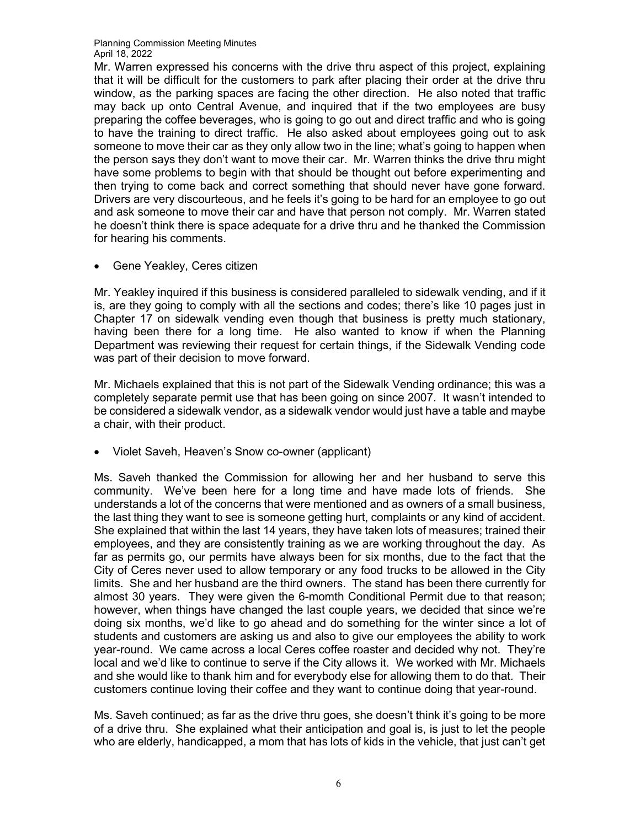Mr. Warren expressed his concerns with the drive thru aspect of this project, explaining that it will be difficult for the customers to park after placing their order at the drive thru window, as the parking spaces are facing the other direction. He also noted that traffic may back up onto Central Avenue, and inquired that if the two employees are busy preparing the coffee beverages, who is going to go out and direct traffic and who is going to have the training to direct traffic. He also asked about employees going out to ask someone to move their car as they only allow two in the line; what's going to happen when the person says they don't want to move their car. Mr. Warren thinks the drive thru might have some problems to begin with that should be thought out before experimenting and then trying to come back and correct something that should never have gone forward. Drivers are very discourteous, and he feels it's going to be hard for an employee to go out and ask someone to move their car and have that person not comply. Mr. Warren stated he doesn't think there is space adequate for a drive thru and he thanked the Commission for hearing his comments.

• Gene Yeakley, Ceres citizen

Mr. Yeakley inquired if this business is considered paralleled to sidewalk vending, and if it is, are they going to comply with all the sections and codes; there's like 10 pages just in Chapter 17 on sidewalk vending even though that business is pretty much stationary, having been there for a long time. He also wanted to know if when the Planning Department was reviewing their request for certain things, if the Sidewalk Vending code was part of their decision to move forward.

Mr. Michaels explained that this is not part of the Sidewalk Vending ordinance; this was a completely separate permit use that has been going on since 2007. It wasn't intended to be considered a sidewalk vendor, as a sidewalk vendor would just have a table and maybe a chair, with their product.

• Violet Saveh, Heaven's Snow co-owner (applicant)

Ms. Saveh thanked the Commission for allowing her and her husband to serve this community. We've been here for a long time and have made lots of friends. She understands a lot of the concerns that were mentioned and as owners of a small business, the last thing they want to see is someone getting hurt, complaints or any kind of accident. She explained that within the last 14 years, they have taken lots of measures; trained their employees, and they are consistently training as we are working throughout the day. As far as permits go, our permits have always been for six months, due to the fact that the City of Ceres never used to allow temporary or any food trucks to be allowed in the City limits. She and her husband are the third owners. The stand has been there currently for almost 30 years. They were given the 6-momth Conditional Permit due to that reason; however, when things have changed the last couple years, we decided that since we're doing six months, we'd like to go ahead and do something for the winter since a lot of students and customers are asking us and also to give our employees the ability to work year-round. We came across a local Ceres coffee roaster and decided why not. They're local and we'd like to continue to serve if the City allows it. We worked with Mr. Michaels and she would like to thank him and for everybody else for allowing them to do that. Their customers continue loving their coffee and they want to continue doing that year-round.

Ms. Saveh continued; as far as the drive thru goes, she doesn't think it's going to be more of a drive thru. She explained what their anticipation and goal is, is just to let the people who are elderly, handicapped, a mom that has lots of kids in the vehicle, that just can't get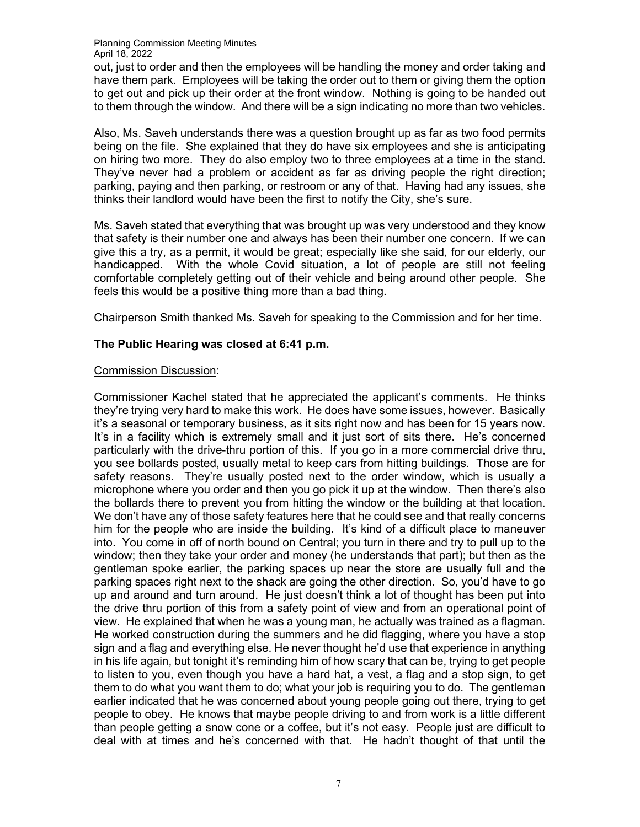out, just to order and then the employees will be handling the money and order taking and have them park. Employees will be taking the order out to them or giving them the option to get out and pick up their order at the front window. Nothing is going to be handed out to them through the window. And there will be a sign indicating no more than two vehicles.

Also, Ms. Saveh understands there was a question brought up as far as two food permits being on the file. She explained that they do have six employees and she is anticipating on hiring two more. They do also employ two to three employees at a time in the stand. They've never had a problem or accident as far as driving people the right direction; parking, paying and then parking, or restroom or any of that. Having had any issues, she thinks their landlord would have been the first to notify the City, she's sure.

Ms. Saveh stated that everything that was brought up was very understood and they know that safety is their number one and always has been their number one concern. If we can give this a try, as a permit, it would be great; especially like she said, for our elderly, our handicapped. With the whole Covid situation, a lot of people are still not feeling comfortable completely getting out of their vehicle and being around other people. She feels this would be a positive thing more than a bad thing.

Chairperson Smith thanked Ms. Saveh for speaking to the Commission and for her time.

# **The Public Hearing was closed at 6:41 p.m.**

### Commission Discussion:

Commissioner Kachel stated that he appreciated the applicant's comments. He thinks they're trying very hard to make this work. He does have some issues, however. Basically it's a seasonal or temporary business, as it sits right now and has been for 15 years now. It's in a facility which is extremely small and it just sort of sits there. He's concerned particularly with the drive-thru portion of this. If you go in a more commercial drive thru, you see bollards posted, usually metal to keep cars from hitting buildings. Those are for safety reasons. They're usually posted next to the order window, which is usually a microphone where you order and then you go pick it up at the window. Then there's also the bollards there to prevent you from hitting the window or the building at that location. We don't have any of those safety features here that he could see and that really concerns him for the people who are inside the building. It's kind of a difficult place to maneuver into. You come in off of north bound on Central; you turn in there and try to pull up to the window; then they take your order and money (he understands that part); but then as the gentleman spoke earlier, the parking spaces up near the store are usually full and the parking spaces right next to the shack are going the other direction. So, you'd have to go up and around and turn around. He just doesn't think a lot of thought has been put into the drive thru portion of this from a safety point of view and from an operational point of view. He explained that when he was a young man, he actually was trained as a flagman. He worked construction during the summers and he did flagging, where you have a stop sign and a flag and everything else. He never thought he'd use that experience in anything in his life again, but tonight it's reminding him of how scary that can be, trying to get people to listen to you, even though you have a hard hat, a vest, a flag and a stop sign, to get them to do what you want them to do; what your job is requiring you to do. The gentleman earlier indicated that he was concerned about young people going out there, trying to get people to obey. He knows that maybe people driving to and from work is a little different than people getting a snow cone or a coffee, but it's not easy. People just are difficult to deal with at times and he's concerned with that. He hadn't thought of that until the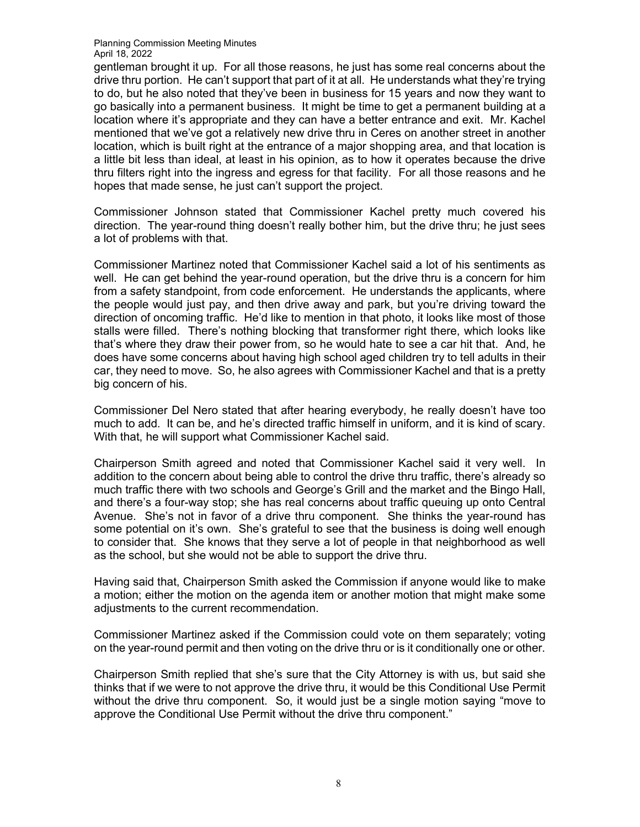gentleman brought it up. For all those reasons, he just has some real concerns about the drive thru portion. He can't support that part of it at all. He understands what they're trying to do, but he also noted that they've been in business for 15 years and now they want to go basically into a permanent business. It might be time to get a permanent building at a location where it's appropriate and they can have a better entrance and exit. Mr. Kachel mentioned that we've got a relatively new drive thru in Ceres on another street in another location, which is built right at the entrance of a major shopping area, and that location is a little bit less than ideal, at least in his opinion, as to how it operates because the drive thru filters right into the ingress and egress for that facility. For all those reasons and he hopes that made sense, he just can't support the project.

Commissioner Johnson stated that Commissioner Kachel pretty much covered his direction. The year-round thing doesn't really bother him, but the drive thru; he just sees a lot of problems with that.

Commissioner Martinez noted that Commissioner Kachel said a lot of his sentiments as well. He can get behind the year-round operation, but the drive thru is a concern for him from a safety standpoint, from code enforcement. He understands the applicants, where the people would just pay, and then drive away and park, but you're driving toward the direction of oncoming traffic. He'd like to mention in that photo, it looks like most of those stalls were filled. There's nothing blocking that transformer right there, which looks like that's where they draw their power from, so he would hate to see a car hit that. And, he does have some concerns about having high school aged children try to tell adults in their car, they need to move. So, he also agrees with Commissioner Kachel and that is a pretty big concern of his.

Commissioner Del Nero stated that after hearing everybody, he really doesn't have too much to add. It can be, and he's directed traffic himself in uniform, and it is kind of scary. With that, he will support what Commissioner Kachel said.

Chairperson Smith agreed and noted that Commissioner Kachel said it very well. In addition to the concern about being able to control the drive thru traffic, there's already so much traffic there with two schools and George's Grill and the market and the Bingo Hall, and there's a four-way stop; she has real concerns about traffic queuing up onto Central Avenue. She's not in favor of a drive thru component. She thinks the year-round has some potential on it's own. She's grateful to see that the business is doing well enough to consider that. She knows that they serve a lot of people in that neighborhood as well as the school, but she would not be able to support the drive thru.

Having said that, Chairperson Smith asked the Commission if anyone would like to make a motion; either the motion on the agenda item or another motion that might make some adjustments to the current recommendation.

Commissioner Martinez asked if the Commission could vote on them separately; voting on the year-round permit and then voting on the drive thru or is it conditionally one or other.

Chairperson Smith replied that she's sure that the City Attorney is with us, but said she thinks that if we were to not approve the drive thru, it would be this Conditional Use Permit without the drive thru component. So, it would just be a single motion saying "move to approve the Conditional Use Permit without the drive thru component."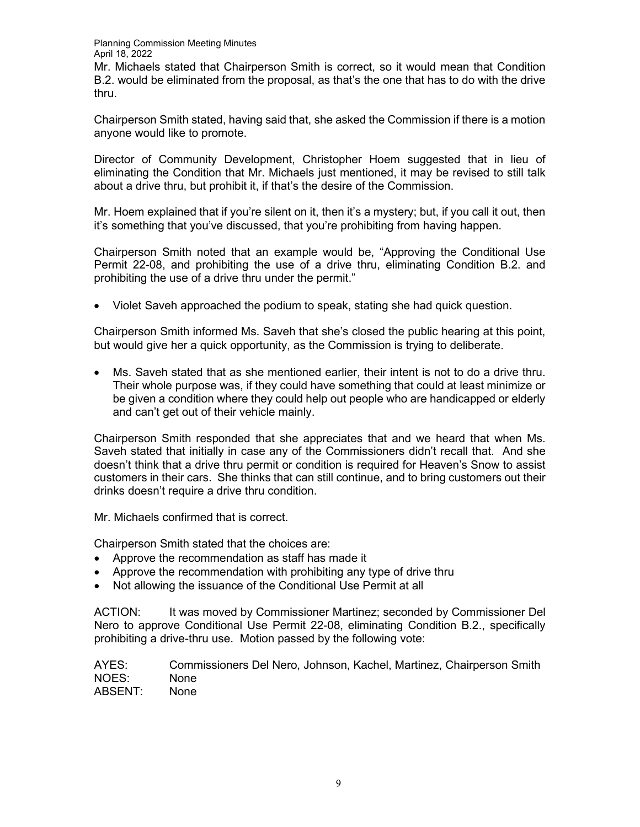Mr. Michaels stated that Chairperson Smith is correct, so it would mean that Condition B.2. would be eliminated from the proposal, as that's the one that has to do with the drive thru.

Chairperson Smith stated, having said that, she asked the Commission if there is a motion anyone would like to promote.

Director of Community Development, Christopher Hoem suggested that in lieu of eliminating the Condition that Mr. Michaels just mentioned, it may be revised to still talk about a drive thru, but prohibit it, if that's the desire of the Commission.

Mr. Hoem explained that if you're silent on it, then it's a mystery; but, if you call it out, then it's something that you've discussed, that you're prohibiting from having happen.

Chairperson Smith noted that an example would be, "Approving the Conditional Use Permit 22-08, and prohibiting the use of a drive thru, eliminating Condition B.2. and prohibiting the use of a drive thru under the permit."

• Violet Saveh approached the podium to speak, stating she had quick question.

Chairperson Smith informed Ms. Saveh that she's closed the public hearing at this point, but would give her a quick opportunity, as the Commission is trying to deliberate.

• Ms. Saveh stated that as she mentioned earlier, their intent is not to do a drive thru. Their whole purpose was, if they could have something that could at least minimize or be given a condition where they could help out people who are handicapped or elderly and can't get out of their vehicle mainly.

Chairperson Smith responded that she appreciates that and we heard that when Ms. Saveh stated that initially in case any of the Commissioners didn't recall that. And she doesn't think that a drive thru permit or condition is required for Heaven's Snow to assist customers in their cars. She thinks that can still continue, and to bring customers out their drinks doesn't require a drive thru condition.

Mr. Michaels confirmed that is correct.

Chairperson Smith stated that the choices are:

- Approve the recommendation as staff has made it
- Approve the recommendation with prohibiting any type of drive thru
- Not allowing the issuance of the Conditional Use Permit at all

ACTION: It was moved by Commissioner Martinez; seconded by Commissioner Del Nero to approve Conditional Use Permit 22-08, eliminating Condition B.2., specifically prohibiting a drive-thru use. Motion passed by the following vote:

AYES: Commissioners Del Nero, Johnson, Kachel, Martinez, Chairperson Smith NOES: None ABSENT: None